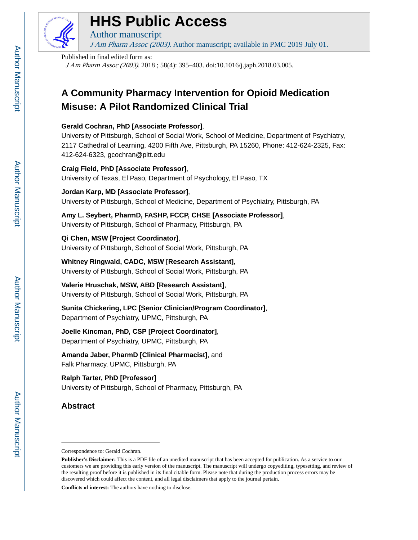

# **HHS Public Access**

Author manuscript J Am Pharm Assoc (2003). Author manuscript; available in PMC 2019 July 01.

#### Published in final edited form as:

J Am Pharm Assoc (2003). 2018 ; 58(4): 395–403. doi:10.1016/j.japh.2018.03.005.

## **A Community Pharmacy Intervention for Opioid Medication Misuse: A Pilot Randomized Clinical Trial**

## **Gerald Cochran, PhD [Associate Professor]**,

University of Pittsburgh, School of Social Work, School of Medicine, Department of Psychiatry, 2117 Cathedral of Learning, 4200 Fifth Ave, Pittsburgh, PA 15260, Phone: 412-624-2325, Fax: 412-624-6323, gcochran@pitt.edu

## **Craig Field, PhD [Associate Professor]**, University of Texas, El Paso, Department of Psychology, El Paso, TX

**Jordan Karp, MD [Associate Professor]**, University of Pittsburgh, School of Medicine, Department of Psychiatry, Pittsburgh, PA

**Amy L. Seybert, PharmD, FASHP, FCCP, CHSE [Associate Professor]**, University of Pittsburgh, School of Pharmacy, Pittsburgh, PA

**Qi Chen, MSW [Project Coordinator]**, University of Pittsburgh, School of Social Work, Pittsburgh, PA

**Whitney Ringwald, CADC, MSW [Research Assistant]**, University of Pittsburgh, School of Social Work, Pittsburgh, PA

**Valerie Hruschak, MSW, ABD [Research Assistant]**, University of Pittsburgh, School of Social Work, Pittsburgh, PA

**Sunita Chickering, LPC [Senior Clinician/Program Coordinator]**, Department of Psychiatry, UPMC, Pittsburgh, PA

**Joelle Kincman, PhD, CSP [Project Coordinator]**, Department of Psychiatry, UPMC, Pittsburgh, PA

**Amanda Jaber, PharmD [Clinical Pharmacist]**, and Falk Pharmacy, UPMC, Pittsburgh, PA

## **Ralph Tarter, PhD [Professor]** University of Pittsburgh, School of Pharmacy, Pittsburgh, PA

## **Abstract**

**Conflicts of interest:** The authors have nothing to disclose.

Correspondence to: Gerald Cochran.

**Publisher's Disclaimer:** This is a PDF file of an unedited manuscript that has been accepted for publication. As a service to our customers we are providing this early version of the manuscript. The manuscript will undergo copyediting, typesetting, and review of the resulting proof before it is published in its final citable form. Please note that during the production process errors may be discovered which could affect the content, and all legal disclaimers that apply to the journal pertain.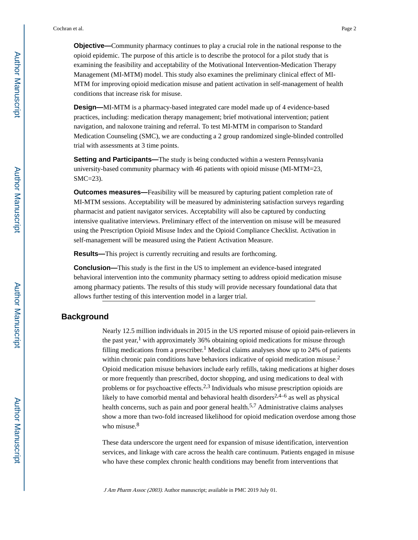**Objective—**Community pharmacy continues to play a crucial role in the national response to the opioid epidemic. The purpose of this article is to describe the protocol for a pilot study that is examining the feasibility and acceptability of the Motivational Intervention-Medication Therapy Management (MI-MTM) model. This study also examines the preliminary clinical effect of MI-MTM for improving opioid medication misuse and patient activation in self-management of health conditions that increase risk for misuse.

**Design—**MI-MTM is a pharmacy-based integrated care model made up of 4 evidence-based practices, including: medication therapy management; brief motivational intervention; patient navigation, and naloxone training and referral. To test MI-MTM in comparison to Standard Medication Counseling (SMC), we are conducting a 2 group randomized single-blinded controlled trial with assessments at 3 time points.

**Setting and Participants—**The study is being conducted within a western Pennsylvania university-based community pharmacy with 46 patients with opioid misuse (MI-MTM=23, SMC=23).

**Outcomes measures—**Feasibility will be measured by capturing patient completion rate of MI-MTM sessions. Acceptability will be measured by administering satisfaction surveys regarding pharmacist and patient navigator services. Acceptability will also be captured by conducting intensive qualitative interviews. Preliminary effect of the intervention on misuse will be measured using the Prescription Opioid Misuse Index and the Opioid Compliance Checklist. Activation in self-management will be measured using the Patient Activation Measure.

**Results—**This project is currently recruiting and results are forthcoming.

**Conclusion—**This study is the first in the US to implement an evidence-based integrated behavioral intervention into the community pharmacy setting to address opioid medication misuse among pharmacy patients. The results of this study will provide necessary foundational data that allows further testing of this intervention model in a larger trial.

## **Background**

Nearly 12.5 million individuals in 2015 in the US reported misuse of opioid pain-relievers in the past year,<sup>1</sup> with approximately 36% obtaining opioid medications for misuse through filling medications from a prescriber.<sup>1</sup> Medical claims analyses show up to 24% of patients within chronic pain conditions have behaviors indicative of opioid medication misuse.<sup>2</sup> Opioid medication misuse behaviors include early refills, taking medications at higher doses or more frequently than prescribed, doctor shopping, and using medications to deal with problems or for psychoactive effects.<sup>2,3</sup> Individuals who misuse prescription opioids are likely to have comorbid mental and behavioral health disorders<sup>2,4–6</sup> as well as physical health concerns, such as pain and poor general health.<sup>5,7</sup> Administrative claims analyses show a more than two-fold increased likelihood for opioid medication overdose among those who misuse.<sup>8</sup>

These data underscore the urgent need for expansion of misuse identification, intervention services, and linkage with care across the health care continuum. Patients engaged in misuse who have these complex chronic health conditions may benefit from interventions that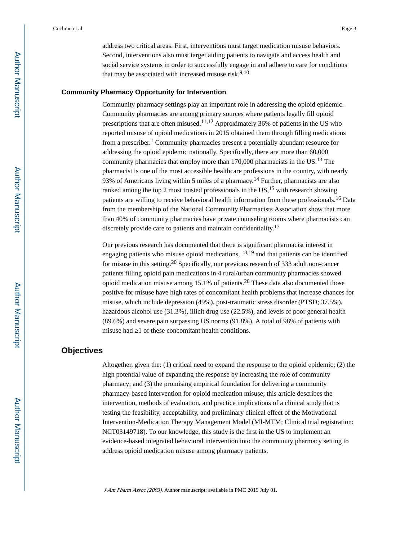address two critical areas. First, interventions must target medication misuse behaviors. Second, interventions also must target aiding patients to navigate and access health and social service systems in order to successfully engage in and adhere to care for conditions that may be associated with increased misuse risk. $9,10$ 

#### **Community Pharmacy Opportunity for Intervention**

Community pharmacy settings play an important role in addressing the opioid epidemic. Community pharmacies are among primary sources where patients legally fill opioid prescriptions that are often misused.<sup>11,12</sup> Approximately 36% of patients in the US who reported misuse of opioid medications in 2015 obtained them through filling medications from a prescriber.<sup>1</sup> Community pharmacies present a potentially abundant resource for addressing the opioid epidemic nationally. Specifically, there are more than 60,000 community pharmacies that employ more than  $170,000$  pharmacists in the US.<sup>13</sup> The pharmacist is one of the most accessible healthcare professions in the country, with nearly 93% of Americans living within 5 miles of a pharmacy.<sup>14</sup> Further, pharmacists are also ranked among the top 2 most trusted professionals in the  $US<sub>15</sub>$  with research showing patients are willing to receive behavioral health information from these professionals.16 Data from the membership of the National Community Pharmacists Association show that more than 40% of community pharmacies have private counseling rooms where pharmacists can discretely provide care to patients and maintain confidentiality.<sup>17</sup>

Our previous research has documented that there is significant pharmacist interest in engaging patients who misuse opioid medications,  $18.19$  and that patients can be identified for misuse in this setting.20 Specifically, our previous research of 333 adult non-cancer patients filling opioid pain medications in 4 rural/urban community pharmacies showed opioid medication misuse among  $15.1\%$  of patients.<sup>20</sup> These data also documented those positive for misuse have high rates of concomitant health problems that increase chances for misuse, which include depression (49%), post-traumatic stress disorder (PTSD; 37.5%), hazardous alcohol use (31.3%), illicit drug use (22.5%), and levels of poor general health (89.6%) and severe pain surpassing US norms (91.8%). A total of 98% of patients with misuse had  $\overline{1}$  of these concomitant health conditions.

## **Objectives**

Altogether, given the: (1) critical need to expand the response to the opioid epidemic; (2) the high potential value of expanding the response by increasing the role of community pharmacy; and (3) the promising empirical foundation for delivering a community pharmacy-based intervention for opioid medication misuse; this article describes the intervention, methods of evaluation, and practice implications of a clinical study that is testing the feasibility, acceptability, and preliminary clinical effect of the Motivational Intervention-Medication Therapy Management Model (MI-MTM; Clinical trial registration: NCT03149718). To our knowledge, this study is the first in the US to implement an evidence-based integrated behavioral intervention into the community pharmacy setting to address opioid medication misuse among pharmacy patients.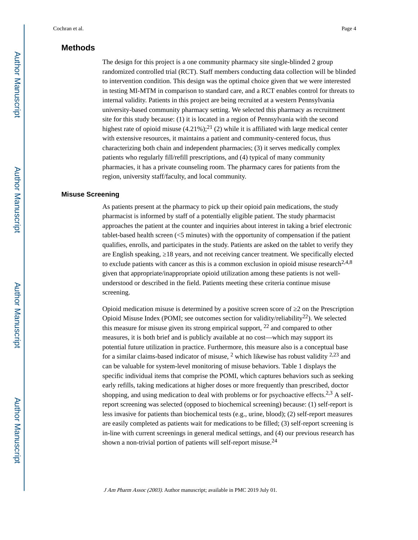## **Methods**

The design for this project is a one community pharmacy site single-blinded 2 group randomized controlled trial (RCT). Staff members conducting data collection will be blinded to intervention condition. This design was the optimal choice given that we were interested in testing MI-MTM in comparison to standard care, and a RCT enables control for threats to internal validity. Patients in this project are being recruited at a western Pennsylvania university-based community pharmacy setting. We selected this pharmacy as recruitment site for this study because: (1) it is located in a region of Pennsylvania with the second highest rate of opioid misuse  $(4.21\%)$ ;<sup>21</sup> (2) while it is affiliated with large medical center with extensive resources, it maintains a patient and community-centered focus, thus characterizing both chain and independent pharmacies; (3) it serves medically complex patients who regularly fill/refill prescriptions, and (4) typical of many community pharmacies, it has a private counseling room. The pharmacy cares for patients from the region, university staff/faculty, and local community.

#### **Misuse Screening**

As patients present at the pharmacy to pick up their opioid pain medications, the study pharmacist is informed by staff of a potentially eligible patient. The study pharmacist approaches the patient at the counter and inquiries about interest in taking a brief electronic tablet-based health screen (<5 minutes) with the opportunity of compensation if the patient qualifies, enrolls, and participates in the study. Patients are asked on the tablet to verify they are English speaking, 18 years, and not receiving cancer treatment. We specifically elected to exclude patients with cancer as this is a common exclusion in opioid misuse research<sup>2,4,8</sup> given that appropriate/inappropriate opioid utilization among these patients is not wellunderstood or described in the field. Patients meeting these criteria continue misuse screening.

Opioid medication misuse is determined by a positive screen score of ≥2 on the Prescription Opioid Misuse Index (POMI; see outcomes section for validity/reliability<sup>22</sup>). We selected this measure for misuse given its strong empirical support,  $^{22}$  and compared to other measures, it is both brief and is publicly available at no cost—which may support its potential future utilization in practice. Furthermore, this measure also is a conceptual base for a similar claims-based indicator of misuse,  $2$  which likewise has robust validity  $2.23$  and can be valuable for system-level monitoring of misuse behaviors. Table 1 displays the specific individual items that comprise the POMI, which captures behaviors such as seeking early refills, taking medications at higher doses or more frequently than prescribed, doctor shopping, and using medication to deal with problems or for psychoactive effects.<sup>2,3</sup> A selfreport screening was selected (opposed to biochemical screening) because: (1) self-report is less invasive for patients than biochemical tests (e.g., urine, blood); (2) self-report measures are easily completed as patients wait for medications to be filled; (3) self-report screening is in-line with current screenings in general medical settings, and (4) our previous research has shown a non-trivial portion of patients will self-report misuse.<sup>24</sup>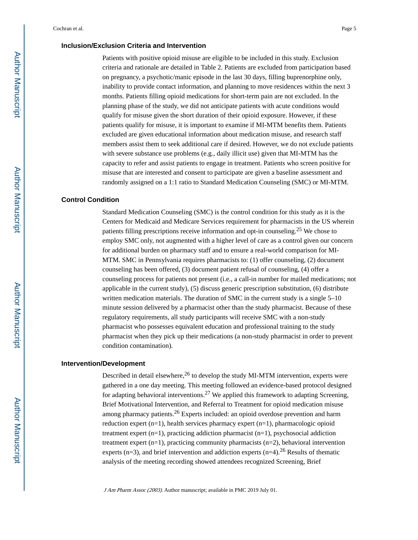#### **Inclusion/Exclusion Criteria and Intervention**

Patients with positive opioid misuse are eligible to be included in this study. Exclusion criteria and rationale are detailed in Table 2. Patients are excluded from participation based on pregnancy, a psychotic/manic episode in the last 30 days, filling buprenorphine only, inability to provide contact information, and planning to move residences within the next 3 months. Patients filling opioid medications for short-term pain are not excluded. In the planning phase of the study, we did not anticipate patients with acute conditions would qualify for misuse given the short duration of their opioid exposure. However, if these patients qualify for misuse, it is important to examine if MI-MTM benefits them. Patients excluded are given educational information about medication misuse, and research staff members assist them to seek additional care if desired. However, we do not exclude patients with severe substance use problems (e.g., daily illicit use) given that MI-MTM has the capacity to refer and assist patients to engage in treatment. Patients who screen positive for misuse that are interested and consent to participate are given a baseline assessment and randomly assigned on a 1:1 ratio to Standard Medication Counseling (SMC) or MI-MTM.

#### **Control Condition**

Standard Medication Counseling (SMC) is the control condition for this study as it is the Centers for Medicaid and Medicare Services requirement for pharmacists in the US wherein patients filling prescriptions receive information and opt-in counseling.<sup>25</sup> We chose to employ SMC only, not augmented with a higher level of care as a control given our concern for additional burden on pharmacy staff and to ensure a real-world comparison for MI-MTM. SMC in Pennsylvania requires pharmacists to: (1) offer counseling, (2) document counseling has been offered, (3) document patient refusal of counseling, (4) offer a counseling process for patients not present (i.e., a call-in number for mailed medications; not applicable in the current study), (5) discuss generic prescription substitution, (6) distribute written medication materials. The duration of SMC in the current study is a single 5–10 minute session delivered by a pharmacist other than the study pharmacist. Because of these regulatory requirements, all study participants will receive SMC with a non-study pharmacist who possesses equivalent education and professional training to the study pharmacist when they pick up their medications (a non-study pharmacist in order to prevent condition contamination).

#### **Intervention/Development**

Described in detail elsewhere,<sup>26</sup> to develop the study MI-MTM intervention, experts were gathered in a one day meeting. This meeting followed an evidence-based protocol designed for adapting behavioral interventions.<sup>27</sup> We applied this framework to adapting Screening, Brief Motivational Intervention, and Referral to Treatment for opioid medication misuse among pharmacy patients.<sup>26</sup> Experts included: an opioid overdose prevention and harm reduction expert (n=1), health services pharmacy expert (n=1), pharmacologic opioid treatment expert (n=1), practicing addiction pharmacist (n=1), psychosocial addiction treatment expert  $(n=1)$ , practicing community pharmacists  $(n=2)$ , behavioral intervention experts (n=3), and brief intervention and addiction experts (n=4).<sup>26</sup> Results of thematic analysis of the meeting recording showed attendees recognized Screening, Brief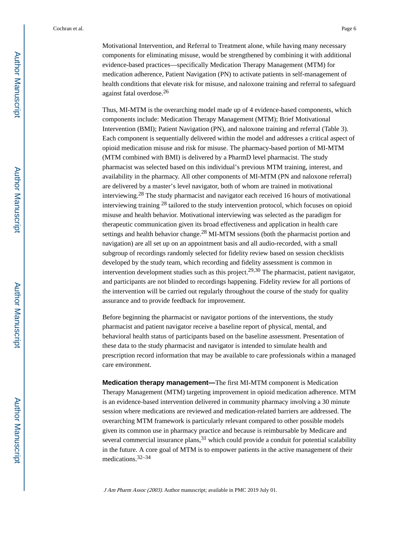Motivational Intervention, and Referral to Treatment alone, while having many necessary components for eliminating misuse, would be strengthened by combining it with additional evidence-based practices—specifically Medication Therapy Management (MTM) for medication adherence, Patient Navigation (PN) to activate patients in self-management of health conditions that elevate risk for misuse, and naloxone training and referral to safeguard against fatal overdose.<sup>26</sup>

Thus, MI-MTM is the overarching model made up of 4 evidence-based components, which components include: Medication Therapy Management (MTM); Brief Motivational Intervention (BMI); Patient Navigation (PN), and naloxone training and referral (Table 3). Each component is sequentially delivered within the model and addresses a critical aspect of opioid medication misuse and risk for misuse. The pharmacy-based portion of MI-MTM (MTM combined with BMI) is delivered by a PharmD level pharmacist. The study pharmacist was selected based on this individual's previous MTM training, interest, and availability in the pharmacy. All other components of MI-MTM (PN and naloxone referral) are delivered by a master's level navigator, both of whom are trained in motivational interviewing.28 The study pharmacist and navigator each received 16 hours of motivational interviewing training 28 tailored to the study intervention protocol, which focuses on opioid misuse and health behavior. Motivational interviewing was selected as the paradigm for therapeutic communication given its broad effectiveness and application in health care settings and health behavior change.<sup>28</sup> MI-MTM sessions (both the pharmacist portion and navigation) are all set up on an appointment basis and all audio-recorded, with a small subgroup of recordings randomly selected for fidelity review based on session checklists developed by the study team, which recording and fidelity assessment is common in intervention development studies such as this project.<sup>29,30</sup> The pharmacist, patient navigator, and participants are not blinded to recordings happening. Fidelity review for all portions of the intervention will be carried out regularly throughout the course of the study for quality assurance and to provide feedback for improvement.

Before beginning the pharmacist or navigator portions of the interventions, the study pharmacist and patient navigator receive a baseline report of physical, mental, and behavioral health status of participants based on the baseline assessment. Presentation of these data to the study pharmacist and navigator is intended to simulate health and prescription record information that may be available to care professionals within a managed care environment.

**Medication therapy management—**The first MI-MTM component is Medication Therapy Management (MTM) targeting improvement in opioid medication adherence. MTM is an evidence-based intervention delivered in community pharmacy involving a 30 minute session where medications are reviewed and medication-related barriers are addressed. The overarching MTM framework is particularly relevant compared to other possible models given its common use in pharmacy practice and because is reimbursable by Medicare and several commercial insurance plans,  $31$  which could provide a conduit for potential scalability in the future. A core goal of MTM is to empower patients in the active management of their medications.32–34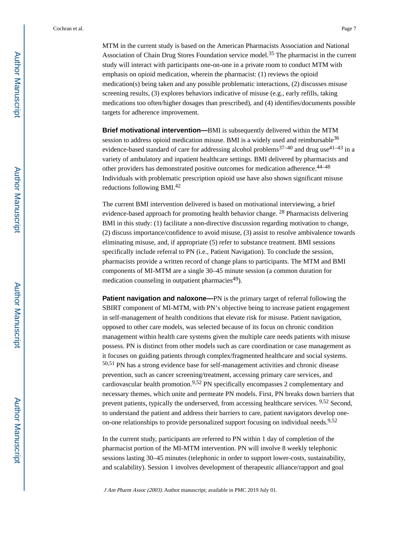MTM in the current study is based on the American Pharmacists Association and National Association of Chain Drug Stores Foundation service model.<sup>35</sup> The pharmacist in the current study will interact with participants one-on-one in a private room to conduct MTM with emphasis on opioid medication, wherein the pharmacist: (1) reviews the opioid medication(s) being taken and any possible problematic interactions, (2) discusses misuse screening results, (3) explores behaviors indicative of misuse (e.g., early refills, taking medications too often/higher dosages than prescribed), and (4) identifies/documents possible targets for adherence improvement.

**Brief motivational intervention—**BMI is subsequently delivered within the MTM session to address opioid medication misuse. BMI is a widely used and reimbursable<sup>36</sup> evidence-based standard of care for addressing alcohol problems<sup>37–40</sup> and drug use<sup>41–43</sup> in a variety of ambulatory and inpatient healthcare settings. BMI delivered by pharmacists and other providers has demonstrated positive outcomes for medication adherence.44–48 Individuals with problematic prescription opioid use have also shown significant misuse reductions following BMI.<sup>42</sup>

The current BMI intervention delivered is based on motivational interviewing, a brief evidence-based approach for promoting health behavior change. 28 Pharmacists delivering BMI in this study: (1) facilitate a non-directive discussion regarding motivation to change, (2) discuss importance/confidence to avoid misuse, (3) assist to resolve ambivalence towards eliminating misuse, and, if appropriate (5) refer to substance treatment. BMI sessions specifically include referral to PN (i.e., Patient Navigation). To conclude the session, pharmacists provide a written record of change plans to participants. The MTM and BMI components of MI-MTM are a single 30–45 minute session (a common duration for medication counseling in outpatient pharmacies<sup>49</sup>).

**Patient navigation and naloxone—PN** is the primary target of referral following the SBIRT component of MI-MTM, with PN's objective being to increase patient engagement in self-management of health conditions that elevate risk for misuse. Patient navigation, opposed to other care models, was selected because of its focus on chronic condition management within health care systems given the multiple care needs patients with misuse possess. PN is distinct from other models such as care coordination or case management as it focuses on guiding patients through complex/fragmented healthcare and social systems. 50,51 PN has a strong evidence base for self-management activities and chronic disease prevention, such as cancer screening/treatment, accessing primary care services, and cardiovascular health promotion.9,52 PN specifically encompasses 2 complementary and necessary themes, which unite and permeate PN models. First, PN breaks down barriers that prevent patients, typically the underserved, from accessing healthcare services. 9,52 Second, to understand the patient and address their barriers to care, patient navigators develop oneon-one relationships to provide personalized support focusing on individual needs.<sup>9,52</sup>

In the current study, participants are referred to PN within 1 day of completion of the pharmacist portion of the MI-MTM intervention. PN will involve 8 weekly telephonic sessions lasting 30–45 minutes (telephonic in order to support lower-costs, sustainability, and scalability). Session 1 involves development of therapeutic alliance/rapport and goal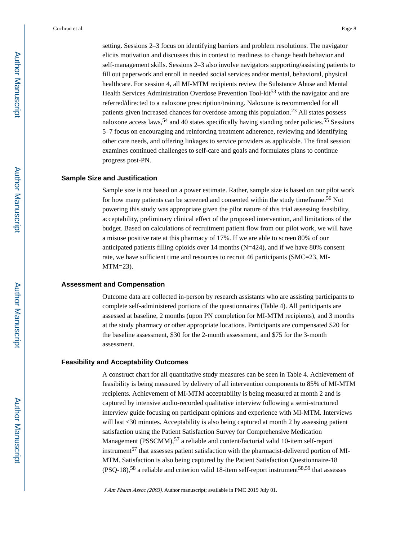setting. Sessions 2–3 focus on identifying barriers and problem resolutions. The navigator elicits motivation and discusses this in context to readiness to change heath behavior and self-management skills. Sessions 2–3 also involve navigators supporting/assisting patients to fill out paperwork and enroll in needed social services and/or mental, behavioral, physical healthcare. For session 4, all MI-MTM recipients review the Substance Abuse and Mental Health Services Administration Overdose Prevention Tool-kit<sup>53</sup> with the navigator and are referred/directed to a naloxone prescription/training. Naloxone is recommended for all patients given increased chances for overdose among this population.23 All states possess naloxone access laws,<sup>54</sup> and 40 states specifically having standing order policies.<sup>55</sup> Sessions 5–7 focus on encouraging and reinforcing treatment adherence, reviewing and identifying other care needs, and offering linkages to service providers as applicable. The final session examines continued challenges to self-care and goals and formulates plans to continue progress post-PN.

#### **Sample Size and Justification**

Sample size is not based on a power estimate. Rather, sample size is based on our pilot work for how many patients can be screened and consented within the study timeframe.56 Not powering this study was appropriate given the pilot nature of this trial assessing feasibility, acceptability, preliminary clinical effect of the proposed intervention, and limitations of the budget. Based on calculations of recruitment patient flow from our pilot work, we will have a misuse positive rate at this pharmacy of 17%. If we are able to screen 80% of our anticipated patients filling opioids over 14 months (N=424), and if we have 80% consent rate, we have sufficient time and resources to recruit 46 participants (SMC=23, MI-MTM=23).

#### **Assessment and Compensation**

Outcome data are collected in-person by research assistants who are assisting participants to complete self-administered portions of the questionnaires (Table 4). All participants are assessed at baseline, 2 months (upon PN completion for MI-MTM recipients), and 3 months at the study pharmacy or other appropriate locations. Participants are compensated \$20 for the baseline assessment, \$30 for the 2-month assessment, and \$75 for the 3-month assessment.

#### **Feasibility and Acceptability Outcomes**

A construct chart for all quantitative study measures can be seen in Table 4. Achievement of feasibility is being measured by delivery of all intervention components to 85% of MI-MTM recipients. Achievement of MI-MTM acceptability is being measured at month 2 and is captured by intensive audio-recorded qualitative interview following a semi-structured interview guide focusing on participant opinions and experience with MI-MTM. Interviews will last 30 minutes. Acceptability is also being captured at month 2 by assessing patient satisfaction using the Patient Satisfaction Survey for Comprehensive Medication Management (PSSCMM),<sup>57</sup> a reliable and content/factorial valid 10-item self-report instrument<sup>57</sup> that assesses patient satisfaction with the pharmacist-delivered portion of MI-MTM. Satisfaction is also being captured by the Patient Satisfaction Questionnaire-18  $(PSQ-18)$ ,<sup>58</sup> a reliable and criterion valid 18-item self-report instrument<sup>58,59</sup> that assesses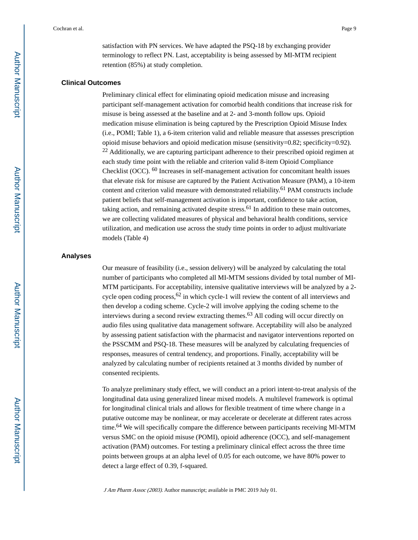satisfaction with PN services. We have adapted the PSQ-18 by exchanging provider terminology to reflect PN. Last, acceptability is being assessed by MI-MTM recipient retention (85%) at study completion.

#### **Clinical Outcomes**

Preliminary clinical effect for eliminating opioid medication misuse and increasing participant self-management activation for comorbid health conditions that increase risk for misuse is being assessed at the baseline and at 2- and 3-month follow ups. Opioid medication misuse elimination is being captured by the Prescription Opioid Misuse Index (i.e., POMI; Table 1), a 6-item criterion valid and reliable measure that assesses prescription opioid misuse behaviors and opioid medication misuse (sensitivity=0.82; specificity=0.92).  $22$  Additionally, we are capturing participant adherence to their prescribed opioid regimen at each study time point with the reliable and criterion valid 8-item Opioid Compliance Checklist (OCC). 60 Increases in self-management activation for concomitant health issues that elevate risk for misuse are captured by the Patient Activation Measure (PAM), a 10-item content and criterion valid measure with demonstrated reliability.<sup>61</sup> PAM constructs include patient beliefs that self-management activation is important, confidence to take action, taking action, and remaining activated despite stress.<sup>61</sup> In addition to these main outcomes, we are collecting validated measures of physical and behavioral health conditions, service utilization, and medication use across the study time points in order to adjust multivariate models (Table 4)

#### **Analyses**

Our measure of feasibility (i.e., session delivery) will be analyzed by calculating the total number of participants who completed all MI-MTM sessions divided by total number of MI-MTM participants. For acceptability, intensive qualitative interviews will be analyzed by a 2 cycle open coding process,  $62$  in which cycle-1 will review the content of all interviews and then develop a coding scheme. Cycle-2 will involve applying the coding scheme to the interviews during a second review extracting themes.<sup>63</sup> All coding will occur directly on audio files using qualitative data management software. Acceptability will also be analyzed by assessing patient satisfaction with the pharmacist and navigator interventions reported on the PSSCMM and PSQ-18. These measures will be analyzed by calculating frequencies of responses, measures of central tendency, and proportions. Finally, acceptability will be analyzed by calculating number of recipients retained at 3 months divided by number of consented recipients.

To analyze preliminary study effect, we will conduct an a priori intent-to-treat analysis of the longitudinal data using generalized linear mixed models. A multilevel framework is optimal for longitudinal clinical trials and allows for flexible treatment of time where change in a putative outcome may be nonlinear, or may accelerate or decelerate at different rates across time.64 We will specifically compare the difference between participants receiving MI-MTM versus SMC on the opioid misuse (POMI), opioid adherence (OCC), and self-management activation (PAM) outcomes. For testing a preliminary clinical effect across the three time points between groups at an alpha level of 0.05 for each outcome, we have 80% power to detect a large effect of 0.39, f-squared.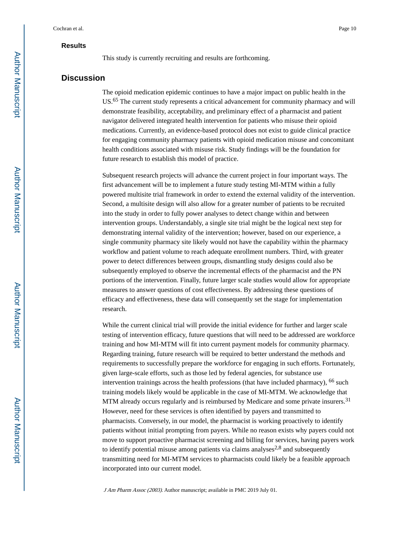#### **Results**

This study is currently recruiting and results are forthcoming.

#### **Discussion**

The opioid medication epidemic continues to have a major impact on public health in the US.65 The current study represents a critical advancement for community pharmacy and will demonstrate feasibility, acceptability, and preliminary effect of a pharmacist and patient navigator delivered integrated health intervention for patients who misuse their opioid medications. Currently, an evidence-based protocol does not exist to guide clinical practice for engaging community pharmacy patients with opioid medication misuse and concomitant health conditions associated with misuse risk. Study findings will be the foundation for future research to establish this model of practice.

Subsequent research projects will advance the current project in four important ways. The first advancement will be to implement a future study testing MI-MTM within a fully powered multisite trial framework in order to extend the external validity of the intervention. Second, a multisite design will also allow for a greater number of patients to be recruited into the study in order to fully power analyses to detect change within and between intervention groups. Understandably, a single site trial might be the logical next step for demonstrating internal validity of the intervention; however, based on our experience, a single community pharmacy site likely would not have the capability within the pharmacy workflow and patient volume to reach adequate enrollment numbers. Third, with greater power to detect differences between groups, dismantling study designs could also be subsequently employed to observe the incremental effects of the pharmacist and the PN portions of the intervention. Finally, future larger scale studies would allow for appropriate measures to answer questions of cost effectiveness. By addressing these questions of efficacy and effectiveness, these data will consequently set the stage for implementation research.

While the current clinical trial will provide the initial evidence for further and larger scale testing of intervention efficacy, future questions that will need to be addressed are workforce training and how MI-MTM will fit into current payment models for community pharmacy. Regarding training, future research will be required to better understand the methods and requirements to successfully prepare the workforce for engaging in such efforts. Fortunately, given large-scale efforts, such as those led by federal agencies, for substance use intervention trainings across the health professions (that have included pharmacy), 66 such training models likely would be applicable in the case of MI-MTM. We acknowledge that MTM already occurs regularly and is reimbursed by Medicare and some private insurers.<sup>31</sup> However, need for these services is often identified by payers and transmitted to pharmacists. Conversely, in our model, the pharmacist is working proactively to identify patients without initial prompting from payers. While no reason exists why payers could not move to support proactive pharmacist screening and billing for services, having payers work to identify potential misuse among patients via claims analyses $2.8$  and subsequently transmitting need for MI-MTM services to pharmacists could likely be a feasible approach incorporated into our current model.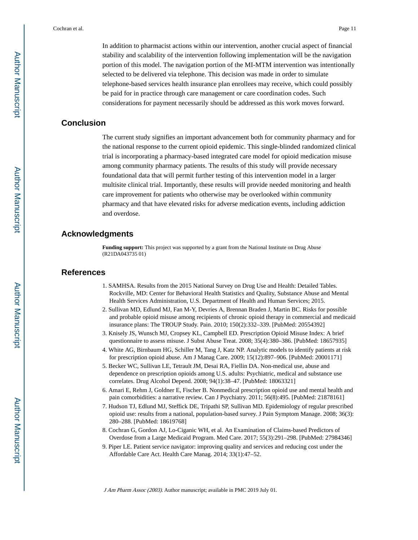In addition to pharmacist actions within our intervention, another crucial aspect of financial stability and scalability of the intervention following implementation will be the navigation portion of this model. The navigation portion of the MI-MTM intervention was intentionally selected to be delivered via telephone. This decision was made in order to simulate telephone-based services health insurance plan enrollees may receive, which could possibly be paid for in practice through care management or care coordination codes. Such considerations for payment necessarily should be addressed as this work moves forward.

### **Conclusion**

The current study signifies an important advancement both for community pharmacy and for the national response to the current opioid epidemic. This single-blinded randomized clinical trial is incorporating a pharmacy-based integrated care model for opioid medication misuse among community pharmacy patients. The results of this study will provide necessary foundational data that will permit further testing of this intervention model in a larger multisite clinical trial. Importantly, these results will provide needed monitoring and health care improvement for patients who otherwise may be overlooked within community pharmacy and that have elevated risks for adverse medication events, including addiction and overdose.

## **Acknowledgments**

**Funding support:** This project was supported by a grant from the National Institute on Drug Abuse (R21DA043735 01)

#### **References**

- 1. SAMHSA. Results from the 2015 National Survey on Drug Use and Health: Detailed Tables. Rockville, MD: Center for Behavioral Health Statistics and Quality, Substance Abuse and Mental Health Services Administration, U.S. Department of Health and Human Services; 2015.
- 2. Sullivan MD, Edlund MJ, Fan M-Y, Devries A, Brennan Braden J, Martin BC. Risks for possible and probable opioid misuse among recipients of chronic opioid therapy in commercial and medicaid insurance plans: The TROUP Study. Pain. 2010; 150(2):332–339. [PubMed: 20554392]
- 3. Knisely JS, Wunsch MJ, Cropsey KL, Campbell ED. Prescription Opioid Misuse Index: A brief questionnaire to assess misuse. J Subst Abuse Treat. 2008; 35(4):380–386. [PubMed: 18657935]
- 4. White AG, Birnbaum HG, Schiller M, Tang J, Katz NP. Analytic models to identify patients at risk for prescription opioid abuse. Am J Manag Care. 2009; 15(12):897–906. [PubMed: 20001171]
- 5. Becker WC, Sullivan LE, Tetrault JM, Desai RA, Fiellin DA. Non-medical use, abuse and dependence on prescription opioids among U.S. adults: Psychiatric, medical and substance use correlates. Drug Alcohol Depend. 2008; 94(1):38–47. [PubMed: 18063321]
- 6. Amari E, Rehm J, Goldner E, Fischer B. Nonmedical prescription opioid use and mental health and pain comorbidities: a narrative review. Can J Psychiatry. 2011; 56(8):495. [PubMed: 21878161]
- 7. Hudson TJ, Edlund MJ, Steffick DE, Tripathi SP, Sullivan MD. Epidemiology of regular prescribed opioid use: results from a national, population-based survey. J Pain Symptom Manage. 2008; 36(3): 280–288. [PubMed: 18619768]
- 8. Cochran G, Gordon AJ, Lo-Ciganic WH, et al. An Examination of Claims-based Predictors of Overdose from a Large Medicaid Program. Med Care. 2017; 55(3):291–298. [PubMed: 27984346]
- 9. Piper LE. Patient service navigator: improving quality and services and reducing cost under the Affordable Care Act. Health Care Manag. 2014; 33(1):47–52.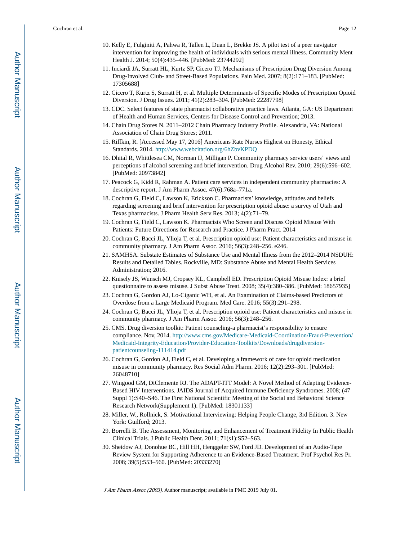- 10. Kelly E, Fulginiti A, Pahwa R, Tallen L, Duan L, Brekke JS. A pilot test of a peer navigator intervention for improving the health of individuals with serious mental illness. Community Ment Health J. 2014; 50(4):435–446. [PubMed: 23744292]
- 11. Inciardi JA, Surratt HL, Kurtz SP, Cicero TJ. Mechanisms of Prescription Drug Diversion Among Drug-Involved Club- and Street-Based Populations. Pain Med. 2007; 8(2):171–183. [PubMed: 17305688]
- 12. Cicero T, Kurtz S, Surratt H, et al. Multiple Determinants of Specific Modes of Prescription Opioid Diversion. J Drug Issues. 2011; 41(2):283–304. [PubMed: 22287798]
- 13. CDC. Select features of state pharmacist collaborative practice laws. Atlanta, GA: US Department of Health and Human Services, Centers for Disease Control and Prevention; 2013.
- 14. Chain Drug Stores N. 2011–2012 Chain Pharmacy Industry Profile. Alexandria, VA: National Association of Chain Drug Stores; 2011.
- 15. Riffkin, R. [Accessed May 17, 2016] Americans Rate Nurses Highest on Honesty, Ethical Standards. 2014.<http://www.webcitation.org/6hZbvKPDQ>
- 16. Dhital R, Whittlesea CM, Norman IJ, Milligan P. Community pharmacy service users' views and perceptions of alcohol screening and brief intervention. Drug Alcohol Rev. 2010; 29(6):596–602. [PubMed: 20973842]
- 17. Peacock G, Kidd R, Rahman A. Patient care services in independent community pharmacies: A descriptive report. J Am Pharm Assoc. 47(6):768a–771a.
- 18. Cochran G, Field C, Lawson K, Erickson C. Pharmacists' knowledge, attitudes and beliefs regarding screening and brief intervention for prescription opioid abuse: a survey of Utah and Texas pharmacists. J Pharm Health Serv Res. 2013; 4(2):71–79.
- 19. Cochran G, Field C, Lawson K. Pharmacists Who Screen and Discuss Opioid Misuse With Patients: Future Directions for Research and Practice. J Pharm Pract. 2014
- 20. Cochran G, Bacci JL, Ylioja T, et al. Prescription opioid use: Patient characteristics and misuse in community pharmacy. J Am Pharm Assoc. 2016; 56(3):248–256. e246.
- 21. SAMHSA. Substate Estimates of Substance Use and Mental Illness from the 2012–2014 NSDUH: Results and Detailed Tables. Rockville, MD: Substance Abuse and Mental Health Services Administration; 2016.
- 22. Knisely JS, Wunsch MJ, Cropsey KL, Campbell ED. Prescription Opioid Misuse Index: a brief questionnaire to assess misuse. J Subst Abuse Treat. 2008; 35(4):380–386. [PubMed: 18657935]
- 23. Cochran G, Gordon AJ, Lo-Ciganic WH, et al. An Examination of Claims-based Predictors of Overdose from a Large Medicaid Program. Med Care. 2016; 55(3):291–298.
- 24. Cochran G, Bacci JL, Ylioja T, et al. Prescription opioid use: Patient characteristics and misuse in community pharmacy. J Am Pharm Assoc. 2016; 56(3):248–256.
- 25. CMS. Drug diversion toolkit: Patient counseling-a pharmacist's responsibility to ensure compliance. Nov, 2014. [http://www.cms.gov/Medicare-Medicaid-Coordination/Fraud-Prevention/](http://www.cms.gov/Medicare-Medicaid-Coordination/Fraud-Prevention/Medicaid-Integrity-Education/Provider-Education-Toolkits/Downloads/drugdiversion-patientcounseling-111414.pdf) [Medicaid-Integrity-Education/Provider-Education-Toolkits/Downloads/drugdiversion](http://www.cms.gov/Medicare-Medicaid-Coordination/Fraud-Prevention/Medicaid-Integrity-Education/Provider-Education-Toolkits/Downloads/drugdiversion-patientcounseling-111414.pdf)[patientcounseling-111414.pdf](http://www.cms.gov/Medicare-Medicaid-Coordination/Fraud-Prevention/Medicaid-Integrity-Education/Provider-Education-Toolkits/Downloads/drugdiversion-patientcounseling-111414.pdf)
- 26. Cochran G, Gordon AJ, Field C, et al. Developing a framework of care for opioid medication misuse in community pharmacy. Res Social Adm Pharm. 2016; 12(2):293–301. [PubMed: 26048710]
- 27. Wingood GM, DiClemente RJ. The ADAPT-ITT Model: A Novel Method of Adapting Evidence-Based HIV Interventions. JAIDS Journal of Acquired Immune Deficiency Syndromes. 2008; (47 Suppl 1):S40–S46. The First National Scientific Meeting of the Social and Behavioral Science Research Network(Supplement 1). [PubMed: 18301133]
- 28. Miller, W., Rollnick, S. Motivational Interviewing: Helping People Change, 3rd Edition. 3. New York: Guilford; 2013.
- 29. Borrelli B. The Assessment, Monitoring, and Enhancement of Treatment Fidelity In Public Health Clinical Trials. J Public Health Dent. 2011; 71(s1):S52–S63.
- 30. Sheidow AJ, Donohue BC, Hill HH, Henggeler SW, Ford JD. Development of an Audio-Tape Review System for Supporting Adherence to an Evidence-Based Treatment. Prof Psychol Res Pr. 2008; 39(5):553–560. [PubMed: 20333270]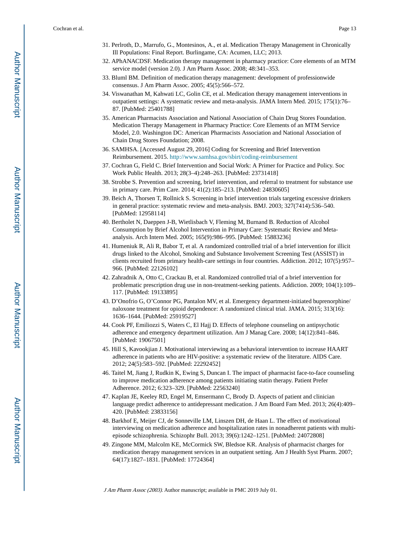- 31. Perlroth, D., Marrufo, G., Montesinos, A., et al. Medication Therapy Management in Chronically Ill Populations: Final Report. Burlingame, CA: Acumen, LLC; 2013.
- 32. APhANACDSF. Medication therapy management in pharmacy practice: Core elements of an MTM service model (version 2.0). J Am Pharm Assoc. 2008; 48:341–353.
- 33. Bluml BM. Definition of medication therapy management: development of professionwide consensus. J Am Pharm Assoc. 2005; 45(5):566–572.
- 34. Viswanathan M, Kahwati LC, Golin CE, et al. Medication therapy management interventions in outpatient settings: A systematic review and meta-analysis. JAMA Intern Med. 2015; 175(1):76– 87. [PubMed: 25401788]
- 35. American Pharmacists Association and National Association of Chain Drug Stores Foundation. Medication Therapy Management in Pharmacy Practice: Core Elements of an MTM Service Model, 2.0. Washington DC: American Pharmacists Association and National Association of Chain Drug Stores Foundation; 2008.
- 36. SAMHSA. [Accessed August 29, 2016] Coding for Screening and Brief Intervention Reimbursement. 2015. <http://www.samhsa.gov/sbirt/coding-reimbursement>
- 37. Cochran G, Field C. Brief Intervention and Social Work: A Primer for Practice and Policy. Soc Work Public Health. 2013; 28(3–4):248–263. [PubMed: 23731418]
- 38. Strobbe S. Prevention and screening, brief intervention, and referral to treatment for substance use in primary care. Prim Care. 2014; 41(2):185–213. [PubMed: 24830605]
- 39. Beich A, Thorsen T, Rollnick S. Screening in brief intervention trials targeting excessive drinkers in general practice: systematic review and meta-analysis. BMJ. 2003; 327(7414):536–540. [PubMed: 12958114]
- 40. Bertholet N, Daeppen J-B, Wietlisbach V, Fleming M, Burnand B. Reduction of Alcohol Consumption by Brief Alcohol Intervention in Primary Care: Systematic Review and Metaanalysis. Arch Intern Med. 2005; 165(9):986–995. [PubMed: 15883236]
- 41. Humeniuk R, Ali R, Babor T, et al. A randomized controlled trial of a brief intervention for illicit drugs linked to the Alcohol, Smoking and Substance Involvement Screening Test (ASSIST) in clients recruited from primary health-care settings in four countries. Addiction. 2012; 107(5):957– 966. [PubMed: 22126102]
- 42. Zahradnik A, Otto C, Crackau B, et al. Randomized controlled trial of a brief intervention for problematic prescription drug use in non-treatment-seeking patients. Addiction. 2009; 104(1):109– 117. [PubMed: 19133895]
- 43. D'Onofrio G, O'Connor PG, Pantalon MV, et al. Emergency department-initiated buprenorphine/ naloxone treatment for opioid dependence: A randomized clinical trial. JAMA. 2015; 313(16): 1636–1644. [PubMed: 25919527]
- 44. Cook PF, Emiliozzi S, Waters C, El Hajj D. Effects of telephone counseling on antipsychotic adherence and emergency department utilization. Am J Manag Care. 2008; 14(12):841–846. [PubMed: 19067501]
- 45. Hill S, Kavookjian J. Motivational interviewing as a behavioral intervention to increase HAART adherence in patients who are HIV-positive: a systematic review of the literature. AIDS Care. 2012; 24(5):583–592. [PubMed: 22292452]
- 46. Taitel M, Jiang J, Rudkin K, Ewing S, Duncan I. The impact of pharmacist face-to-face counseling to improve medication adherence among patients initiating statin therapy. Patient Prefer Adherence. 2012; 6:323–329. [PubMed: 22563240]
- 47. Kaplan JE, Keeley RD, Engel M, Emsermann C, Brody D. Aspects of patient and clinician language predict adherence to antidepressant medication. J Am Board Fam Med. 2013; 26(4):409– 420. [PubMed: 23833156]
- 48. Barkhof E, Meijer CJ, de Sonneville LM, Linszen DH, de Haan L. The effect of motivational interviewing on medication adherence and hospitalization rates in nonadherent patients with multiepisode schizophrenia. Schizophr Bull. 2013; 39(6):1242–1251. [PubMed: 24072808]
- 49. Zingone MM, Malcolm KE, McCormick SW, Bledsoe KR. Analysis of pharmacist charges for medication therapy management services in an outpatient setting. Am J Health Syst Pharm. 2007; 64(17):1827–1831. [PubMed: 17724364]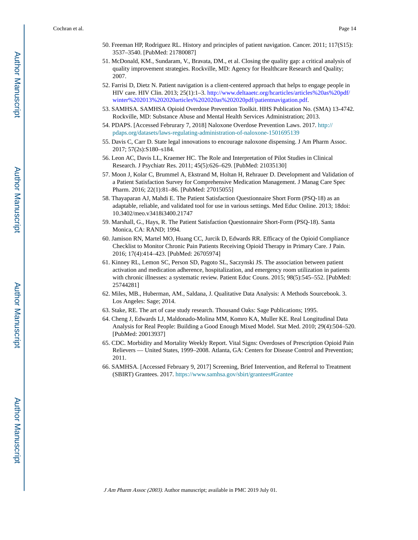- 50. Freeman HP, Rodriguez RL. History and principles of patient navigation. Cancer. 2011; 117(S15): 3537–3540. [PubMed: 21780087]
- 51. McDonald, KM., Sundaram, V., Bravata, DM., et al. Closing the quality gap: a critical analysis of quality improvement strategies. Rockville, MD: Agency for Healthcare Research and Quality; 2007.
- 52. Farrisi D, Dietz N. Patient navigation is a client-centered approach that helps to engage people in HIV care. HIV Clin. 2013; 25(1):1–3. [http://www.deltaaetc.org/hcarticles/articles%20as%20pdf/](http://www.deltaaetc.org/hcarticles/articles%20as%20pdf/winter%202013%202020articles%202020as%202020pdf/patientnavigation.pdf) [winter%202013%202020articles%202020as%202020pdf/patientnavigation.pdf](http://www.deltaaetc.org/hcarticles/articles%20as%20pdf/winter%202013%202020articles%202020as%202020pdf/patientnavigation.pdf).
- 53. SAMHSA. SAMHSA Opioid Overdose Prevention Toolkit. HHS Publication No. (SMA) 13-4742. Rockville, MD: Substance Abuse and Mental Health Services Administration; 2013.
- 54. PDAPS. [Accessed Februrary 7, 2018] Naloxone Overdose Prevention Laws. 2017. [http://](http://pdaps.org/datasets/laws-regulating-administration-of-naloxone-1501695139) [pdaps.org/datasets/laws-regulating-administration-of-naloxone-1501695139](http://pdaps.org/datasets/laws-regulating-administration-of-naloxone-1501695139)
- 55. Davis C, Carr D. State legal innovations to encourage naloxone dispensing. J Am Pharm Assoc. 2017; 57(2s):S180–s184.
- 56. Leon AC, Davis LL, Kraemer HC. The Role and Interpretation of Pilot Studies in Clinical Research. J Psychiatr Res. 2011; 45(5):626–629. [PubMed: 21035130]
- 57. Moon J, Kolar C, Brummel A, Ekstrand M, Holtan H, Rehrauer D. Development and Validation of a Patient Satisfaction Survey for Comprehensive Medication Management. J Manag Care Spec Pharm. 2016; 22(1):81–86. [PubMed: 27015055]
- 58. Thayaparan AJ, Mahdi E. The Patient Satisfaction Questionnaire Short Form (PSQ-18) as an adaptable, reliable, and validated tool for use in various settings. Med Educ Online. 2013; 18doi: 10.3402/meo.v3418i3400.21747
- 59. Marshall, G., Hays, R. The Patient Satisfaction Questionnaire Short-Form (PSQ-18). Santa Monica, CA: RAND; 1994.
- 60. Jamison RN, Martel MO, Huang CC, Jurcik D, Edwards RR. Efficacy of the Opioid Compliance Checklist to Monitor Chronic Pain Patients Receiving Opioid Therapy in Primary Care. J Pain. 2016; 17(4):414–423. [PubMed: 26705974]
- 61. Kinney RL, Lemon SC, Person SD, Pagoto SL, Saczynski JS. The association between patient activation and medication adherence, hospitalization, and emergency room utilization in patients with chronic illnesses: a systematic review. Patient Educ Couns. 2015; 98(5):545–552. [PubMed: 25744281]
- 62. Miles, MB., Huberman, AM., Saldana, J. Qualitative Data Analysis: A Methods Sourcebook. 3. Los Angeles: Sage; 2014.
- 63. Stake, RE. The art of case study research. Thousand Oaks: Sage Publications; 1995.
- 64. Cheng J, Edwards LJ, Maldonado-Molina MM, Komro KA, Muller KE. Real Longitudinal Data Analysis for Real People: Building a Good Enough Mixed Model. Stat Med. 2010; 29(4):504–520. [PubMed: 20013937]
- 65. CDC. Morbidity and Mortality Weekly Report. Vital Signs: Overdoses of Prescription Opioid Pain Relievers — United States, 1999–2008. Atlanta, GA: Centers for Disease Control and Prevention; 2011.
- 66. SAMHSA. [Accessed February 9, 2017] Screening, Brief Intervention, and Referral to Treatment (SBIRT) Grantees. 2017.<https://www.samhsa.gov/sbirt/grantees#Grantee>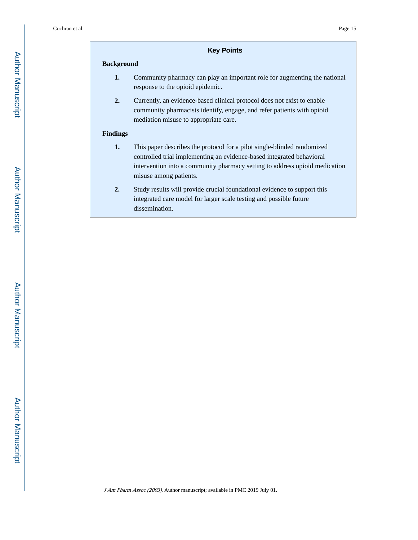## **Key Points**

#### **Background**

- **1.** Community pharmacy can play an important role for augmenting the national response to the opioid epidemic.
- **2.** Currently, an evidence-based clinical protocol does not exist to enable community pharmacists identify, engage, and refer patients with opioid mediation misuse to appropriate care.

#### **Findings**

- **1.** This paper describes the protocol for a pilot single-blinded randomized controlled trial implementing an evidence-based integrated behavioral intervention into a community pharmacy setting to address opioid medication misuse among patients.
- **2.** Study results will provide crucial foundational evidence to support this integrated care model for larger scale testing and possible future dissemination.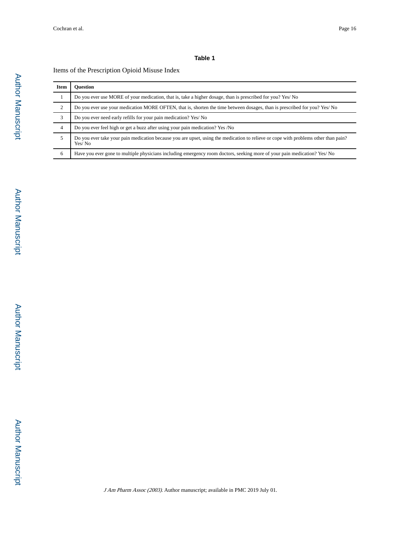#### **Table 1**

#### Items of the Prescription Opioid Misuse Index

| Item | <b>Ouestion</b>                                                                                                                               |
|------|-----------------------------------------------------------------------------------------------------------------------------------------------|
|      | Do you ever use MORE of your medication, that is, take a higher dosage, than is prescribed for you? Yes/No                                    |
| 2    | Do you ever use your medication MORE OFTEN, that is, shorten the time between dosages, than is prescribed for you? Yes/No                     |
| 3    | Do you ever need early refills for your pain medication? Yes/No                                                                               |
| 4    | Do you ever feel high or get a buzz after using your pain medication? Yes /No                                                                 |
| 5    | Do you ever take your pain medication because you are upset, using the medication to relieve or cope with problems other than pain?<br>Yes/No |
| 6    | Have you ever gone to multiple physicians including emergency room doctors, seeking more of your pain medication? Yes/No                      |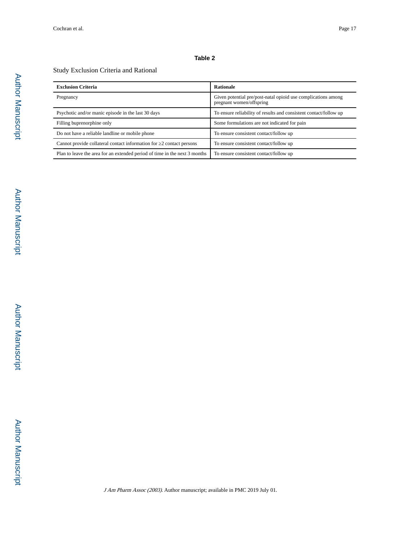#### **Table 2**

#### Study Exclusion Criteria and Rational

| <b>Exclusion Criteria</b>                                                  | <b>Rationale</b>                                                                          |
|----------------------------------------------------------------------------|-------------------------------------------------------------------------------------------|
| Pregnancy                                                                  | Given potential pre/post-natal opioid use complications among<br>pregnant women/offspring |
| Psychotic and/or manic episode in the last 30 days                         | To ensure reliability of results and consistent contact/follow up                         |
| Filling buprenorphine only                                                 | Some formulations are not indicated for pain                                              |
| Do not have a reliable landline or mobile phone                            | To ensure consistent contact/follow up                                                    |
| Cannot provide collateral contact information for 2 contact persons        | To ensure consistent contact/follow up                                                    |
| Plan to leave the area for an extended period of time in the next 3 months | To ensure consistent contact/follow up                                                    |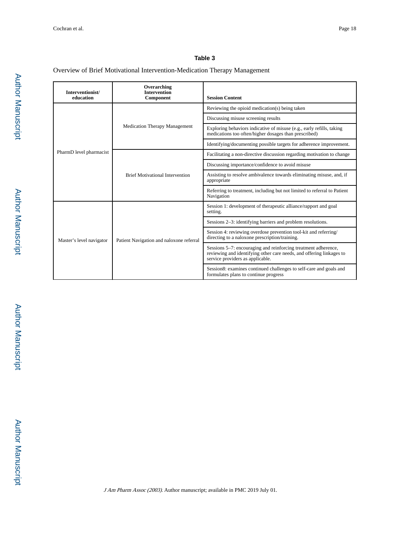#### **Table 3**

#### Overview of Brief Motivational Intervention-Medication Therapy Management

| Interventionist/<br>education | Overarching<br><b>Intervention</b><br>Component | <b>Session Content</b>                                                                                                                                                     |
|-------------------------------|-------------------------------------------------|----------------------------------------------------------------------------------------------------------------------------------------------------------------------------|
|                               |                                                 | Reviewing the opioid medication(s) being taken                                                                                                                             |
|                               | <b>Medication Therapy Management</b>            | Discussing misuse screening results                                                                                                                                        |
|                               |                                                 | Exploring behaviors indicative of misuse (e.g., early refills, taking<br>medications too often/higher dosages than prescribed)                                             |
|                               |                                                 | Identifying/documenting possible targets for adherence improvement.                                                                                                        |
| PharmD level pharmacist       |                                                 | Facilitating a non-directive discussion regarding motivation to change                                                                                                     |
|                               | <b>Brief Motivational Intervention</b>          | Discussing importance/confidence to avoid misuse                                                                                                                           |
|                               |                                                 | Assisting to resolve ambivalence towards eliminating misuse, and, if<br>appropriate                                                                                        |
|                               |                                                 | Referring to treatment, including but not limited to referral to Patient<br>Navigation                                                                                     |
|                               |                                                 | Session 1: development of therapeutic alliance/rapport and goal<br>setting.                                                                                                |
|                               | Patient Navigation and naloxone referral        | Sessions 2–3: identifying barriers and problem resolutions.                                                                                                                |
| Master's level navigator      |                                                 | Session 4: reviewing overdose prevention tool-kit and referring/<br>directing to a naloxone prescription/training.                                                         |
|                               |                                                 | Sessions 5–7: encouraging and reinforcing treatment adherence,<br>reviewing and identifying other care needs, and offering linkages to<br>service providers as applicable. |
|                               |                                                 | Session8: examines continued challenges to self-care and goals and<br>formulates plans to continue progress                                                                |